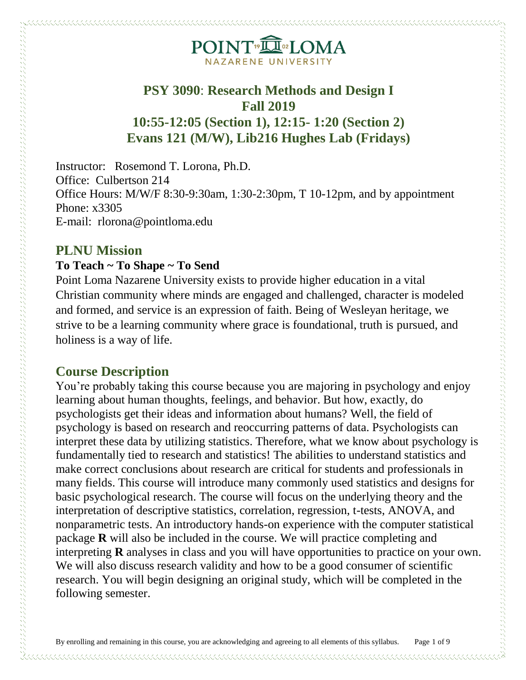# POINT<sup>®</sup>ILOMA NAZARENE UNIVERSI

## **PSY 3090**: **Research Methods and Design I Fall 2019 10:55-12:05 (Section 1), 12:15- 1:20 (Section 2) Evans 121 (M/W), Lib216 Hughes Lab (Fridays)**

Instructor: Rosemond T. Lorona, Ph.D. Office: Culbertson 214 Office Hours: M/W/F 8:30-9:30am, 1:30-2:30pm, T 10-12pm, and by appointment Phone: x3305 E-mail: rlorona@pointloma.edu

### **PLNU Mission**

contract contract contract on the contract of the contract of the contract of the contract of the contract of the contract of the contract of the contract of the contract of the contract of the contract of the contract of

#### **To Teach ~ To Shape ~ To Send**

Point Loma Nazarene University exists to provide higher education in a vital Christian community where minds are engaged and challenged, character is modeled and formed, and service is an expression of faith. Being of Wesleyan heritage, we strive to be a learning community where grace is foundational, truth is pursued, and holiness is a way of life.

### **Course Description**

You're probably taking this course because you are majoring in psychology and enjoy learning about human thoughts, feelings, and behavior. But how, exactly, do psychologists get their ideas and information about humans? Well, the field of psychology is based on research and reoccurring patterns of data. Psychologists can interpret these data by utilizing statistics. Therefore, what we know about psychology is fundamentally tied to research and statistics! The abilities to understand statistics and make correct conclusions about research are critical for students and professionals in many fields. This course will introduce many commonly used statistics and designs for basic psychological research. The course will focus on the underlying theory and the interpretation of descriptive statistics, correlation, regression, t-tests, ANOVA, and nonparametric tests. An introductory hands-on experience with the computer statistical package **R** will also be included in the course. We will practice completing and interpreting **R** analyses in class and you will have opportunities to practice on your own. We will also discuss research validity and how to be a good consumer of scientific research. You will begin designing an original study, which will be completed in the following semester.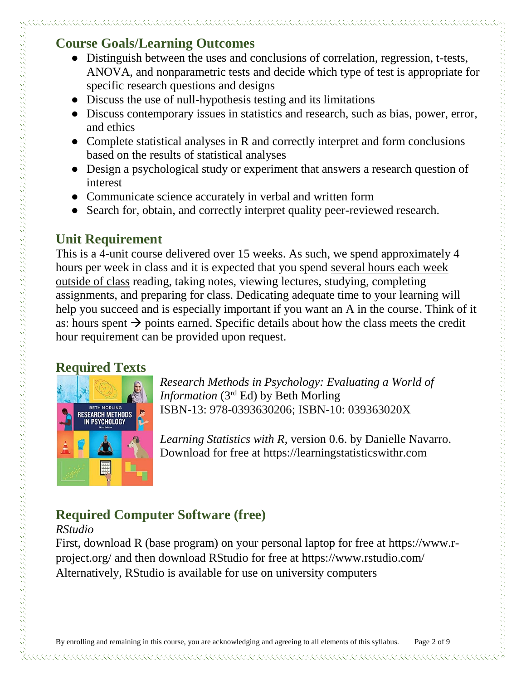## **Course Goals/Learning Outcomes**

- Distinguish between the uses and conclusions of correlation, regression, t-tests, ANOVA, and nonparametric tests and decide which type of test is appropriate for specific research questions and designs
- Discuss the use of null-hypothesis testing and its limitations
- Discuss contemporary issues in statistics and research, such as bias, power, error, and ethics
- Complete statistical analyses in R and correctly interpret and form conclusions based on the results of statistical analyses
- Design a psychological study or experiment that answers a research question of interest
- Communicate science accurately in verbal and written form
- Search for, obtain, and correctly interpret quality peer-reviewed research.

## **Unit Requirement**

This is a 4-unit course delivered over 15 weeks. As such, we spend approximately 4 hours per week in class and it is expected that you spend several hours each week outside of class reading, taking notes, viewing lectures, studying, completing assignments, and preparing for class. Dedicating adequate time to your learning will help you succeed and is especially important if you want an A in the course. Think of it as: hours spent  $\rightarrow$  points earned. Specific details about how the class meets the credit hour requirement can be provided upon request.

## **Required Texts**

 $\sim$  . The contract of the construction of the construction of the construction of the construction of the construction of the construction of the construction of the construction of the construction of the construction o



*Research Methods in Psychology: Evaluating a World of Information* (3rd Ed) by Beth Morling ISBN-13: 978-0393630206; ISBN-10: 039363020X

*Learning Statistics with R*, version 0.6. by Danielle Navarro. Download for free at https://learningstatisticswithr.com

## **Required Computer Software (free)**

#### *RStudio*

First, download R (base program) on your personal laptop for free at https://www.rproject.org/ and then download RStudio for free at https://www.rstudio.com/ Alternatively, RStudio is available for use on university computers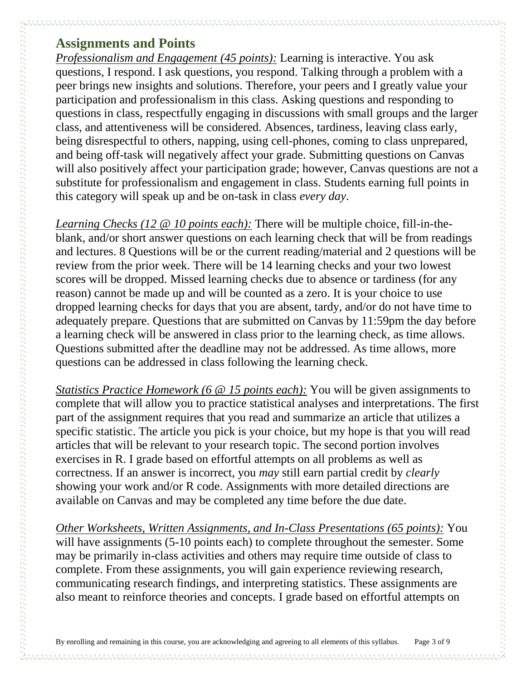### **Assignments and Points**

*Professionalism and Engagement (45 points):* Learning is interactive. You ask questions, I respond. I ask questions, you respond. Talking through a problem with a peer brings new insights and solutions. Therefore, your peers and I greatly value your participation and professionalism in this class. Asking questions and responding to questions in class, respectfully engaging in discussions with small groups and the larger class, and attentiveness will be considered. Absences, tardiness, leaving class early, being disrespectful to others, napping, using cell-phones, coming to class unprepared, and being off-task will negatively affect your grade. Submitting questions on Canvas will also positively affect your participation grade; however, Canvas questions are not a substitute for professionalism and engagement in class. Students earning full points in this category will speak up and be on-task in class *every day*.

*Learning Checks (12 @ 10 points each):* There will be multiple choice, fill-in-theblank, and/or short answer questions on each learning check that will be from readings and lectures. 8 Questions will be or the current reading/material and 2 questions will be review from the prior week. There will be 14 learning checks and your two lowest scores will be dropped. Missed learning checks due to absence or tardiness (for any reason) cannot be made up and will be counted as a zero. It is your choice to use dropped learning checks for days that you are absent, tardy, and/or do not have time to adequately prepare. Questions that are submitted on Canvas by 11:59pm the day before a learning check will be answered in class prior to the learning check, as time allows. Questions submitted after the deadline may not be addressed. As time allows, more questions can be addressed in class following the learning check.

*Statistics Practice Homework (6 @ 15 points each):* You will be given assignments to complete that will allow you to practice statistical analyses and interpretations. The first part of the assignment requires that you read and summarize an article that utilizes a specific statistic. The article you pick is your choice, but my hope is that you will read articles that will be relevant to your research topic. The second portion involves exercises in R. I grade based on effortful attempts on all problems as well as correctness. If an answer is incorrect, you *may* still earn partial credit by *clearly* showing your work and/or R code. Assignments with more detailed directions are available on Canvas and may be completed any time before the due date.

*Other Worksheets, Written Assignments, and In-Class Presentations (65 points):* You will have assignments (5-10 points each) to complete throughout the semester. Some may be primarily in-class activities and others may require time outside of class to complete. From these assignments, you will gain experience reviewing research, communicating research findings, and interpreting statistics. These assignments are also meant to reinforce theories and concepts. I grade based on effortful attempts on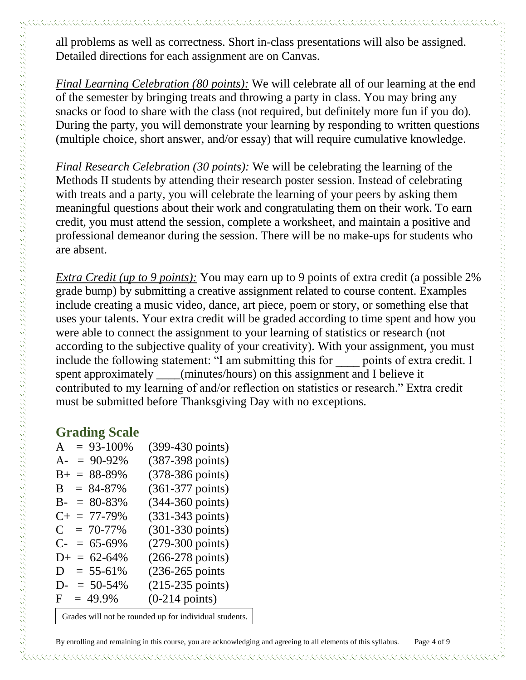all problems as well as correctness. Short in-class presentations will also be assigned. Detailed directions for each assignment are on Canvas.

*Final Learning Celebration (80 points):* We will celebrate all of our learning at the end of the semester by bringing treats and throwing a party in class. You may bring any snacks or food to share with the class (not required, but definitely more fun if you do). During the party, you will demonstrate your learning by responding to written questions (multiple choice, short answer, and/or essay) that will require cumulative knowledge.

*Final Research Celebration (30 points):* We will be celebrating the learning of the Methods II students by attending their research poster session. Instead of celebrating with treats and a party, you will celebrate the learning of your peers by asking them meaningful questions about their work and congratulating them on their work. To earn credit, you must attend the session, complete a worksheet, and maintain a positive and professional demeanor during the session. There will be no make-ups for students who are absent.

*Extra Credit (up to 9 points):* You may earn up to 9 points of extra credit (a possible 2% grade bump) by submitting a creative assignment related to course content. Examples include creating a music video, dance, art piece, poem or story, or something else that uses your talents. Your extra credit will be graded according to time spent and how you were able to connect the assignment to your learning of statistics or research (not according to the subjective quality of your creativity). With your assignment, you must include the following statement: "I am submitting this for points of extra credit. I spent approximately \_\_\_\_(minutes/hours) on this assignment and I believe it contributed to my learning of and/or reflection on statistics or research." Extra credit must be submitted before Thanksgiving Day with no exceptions.

### **Grading Scale**

| $A = 93-100\%$      | (399-430 points)             |
|---------------------|------------------------------|
| $A = 90-92\%$       | $(387-398 \text{ points})$   |
| $B+ = 88-89\%$      | (378-386 points)             |
| $= 84 - 87\%$<br>B  | $(361-377 \text{ points})$   |
| $B- = 80-83%$       | (344-360 points)             |
| $C_{+} = 77 - 79\%$ | $(331 - 343 \text{ points})$ |
| $C = 70-77\%$       | $(301-330 \text{ points})$   |
| $C- = 65-69\%$      | $(279-300 \text{ points})$   |
| $D+ = 62-64\%$      | $(266-278 \text{ points})$   |
| $D = 55-61\%$       | $(236-265 \text{ points})$   |
| $D = 50-54\%$       | $(215-235 \text{ points})$   |
| $F = 49.9\%$        | $(0-214 \text{ points})$     |
|                     |                              |

Grades will not be rounded up for individual students.

By enrolling and remaining in this course, you are acknowledging and agreeing to all elements of this syllabus. Page 4 of 9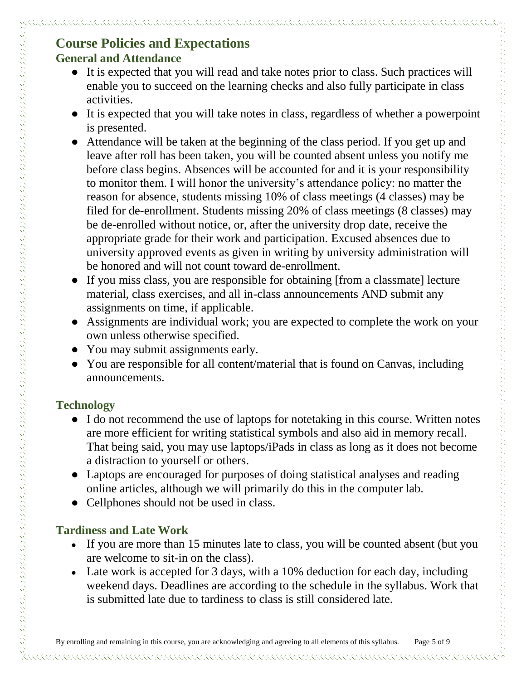## **Course Policies and Expectations General and Attendance**

- It is expected that you will read and take notes prior to class. Such practices will enable you to succeed on the learning checks and also fully participate in class activities.
- It is expected that you will take notes in class, regardless of whether a powerpoint is presented.
- Attendance will be taken at the beginning of the class period. If you get up and leave after roll has been taken, you will be counted absent unless you notify me before class begins. Absences will be accounted for and it is your responsibility to monitor them. I will honor the university's attendance policy: no matter the reason for absence, students missing 10% of class meetings (4 classes) may be filed for de-enrollment. Students missing 20% of class meetings (8 classes) may be de-enrolled without notice, or, after the university drop date, receive the appropriate grade for their work and participation. Excused absences due to university approved events as given in writing by university administration will be honored and will not count toward de-enrollment.
- If you miss class, you are responsible for obtaining [from a classmate] lecture material, class exercises, and all in-class announcements AND submit any assignments on time, if applicable.
- Assignments are individual work; you are expected to complete the work on your own unless otherwise specified.
- You may submit assignments early.
- You are responsible for all content/material that is found on Canvas, including announcements.

### **Technology**

- I do not recommend the use of laptops for notetaking in this course. Written notes are more efficient for writing statistical symbols and also aid in memory recall. That being said, you may use laptops/iPads in class as long as it does not become a distraction to yourself or others.
- Laptops are encouraged for purposes of doing statistical analyses and reading online articles, although we will primarily do this in the computer lab.
- Cellphones should not be used in class.

### **Tardiness and Late Work**

- If you are more than 15 minutes late to class, you will be counted absent (but you are welcome to sit-in on the class).
- Late work is accepted for 3 days, with a 10% deduction for each day, including weekend days. Deadlines are according to the schedule in the syllabus. Work that is submitted late due to tardiness to class is still considered late.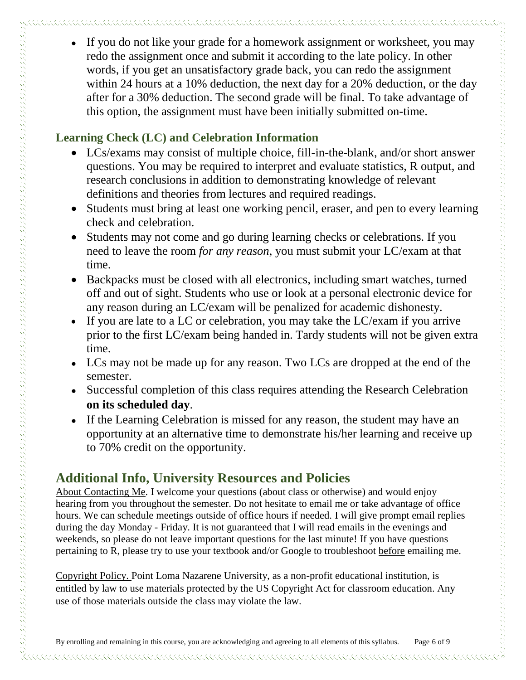• If you do not like your grade for a homework assignment or worksheet, you may redo the assignment once and submit it according to the late policy. In other words, if you get an unsatisfactory grade back, you can redo the assignment within 24 hours at a 10% deduction, the next day for a 20% deduction, or the day after for a 30% deduction. The second grade will be final. To take advantage of this option, the assignment must have been initially submitted on-time.

### **Learning Check (LC) and Celebration Information**

- LCs/exams may consist of multiple choice, fill-in-the-blank, and/or short answer questions. You may be required to interpret and evaluate statistics, R output, and research conclusions in addition to demonstrating knowledge of relevant definitions and theories from lectures and required readings.
- Students must bring at least one working pencil, eraser, and pen to every learning check and celebration.
- Students may not come and go during learning checks or celebrations. If you need to leave the room *for any reason*, you must submit your LC/exam at that time.
- Backpacks must be closed with all electronics, including smart watches, turned off and out of sight. Students who use or look at a personal electronic device for any reason during an LC/exam will be penalized for academic dishonesty.
- If you are late to a LC or celebration, you may take the LC/exam if you arrive prior to the first LC/exam being handed in. Tardy students will not be given extra time.
- LCs may not be made up for any reason. Two LCs are dropped at the end of the semester.
- Successful completion of this class requires attending the Research Celebration **on its scheduled day**.
- If the Learning Celebration is missed for any reason, the student may have an opportunity at an alternative time to demonstrate his/her learning and receive up to 70% credit on the opportunity.

## **Additional Info, University Resources and Policies**

About Contacting Me. I welcome your questions (about class or otherwise) and would enjoy hearing from you throughout the semester. Do not hesitate to email me or take advantage of office hours. We can schedule meetings outside of office hours if needed. I will give prompt email replies during the day Monday - Friday. It is not guaranteed that I will read emails in the evenings and weekends, so please do not leave important questions for the last minute! If you have questions pertaining to R, please try to use your textbook and/or Google to troubleshoot before emailing me.

Copyright Policy. Point Loma Nazarene University, as a non-profit educational institution, is entitled by law to use materials protected by the US Copyright Act for classroom education. Any use of those materials outside the class may violate the law.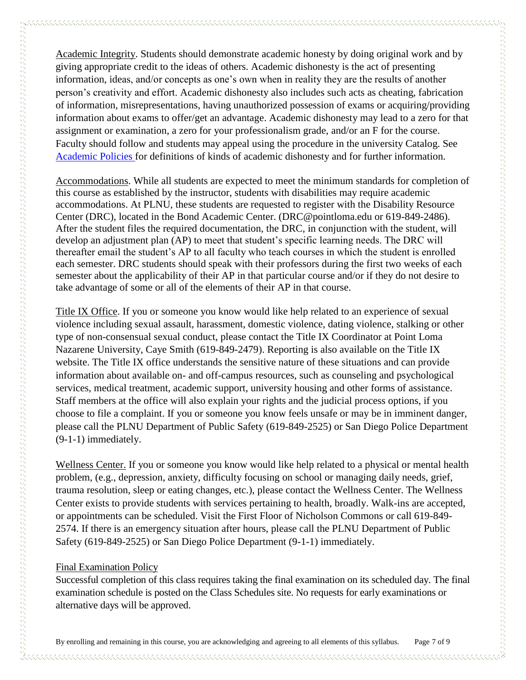Academic Integrity. Students should demonstrate academic honesty by doing original work and by giving appropriate credit to the ideas of others. Academic dishonesty is the act of presenting information, ideas, and/or concepts as one's own when in reality they are the results of another person's creativity and effort. Academic dishonesty also includes such acts as cheating, fabrication of information, misrepresentations, having unauthorized possession of exams or acquiring/providing information about exams to offer/get an advantage. Academic dishonesty may lead to a zero for that assignment or examination, a zero for your professionalism grade, and/or an F for the course. Faculty should follow and students may appeal using the procedure in the university Catalog. See [Academic Policies](http://catalog.pointloma.edu/content.php?catoid=18&navoid=1278) for definitions of kinds of academic dishonesty and for further information.

Accommodations. While all students are expected to meet the minimum standards for completion of this course as established by the instructor, students with disabilities may require academic accommodations. At PLNU, these students are requested to register with the Disability Resource Center (DRC), located in the Bond Academic Center. (DRC@pointloma.edu or 619-849-2486). After the student files the required documentation, the DRC, in conjunction with the student, will develop an adjustment plan (AP) to meet that student's specific learning needs. The DRC will thereafter email the student's AP to all faculty who teach courses in which the student is enrolled each semester. DRC students should speak with their professors during the first two weeks of each semester about the applicability of their AP in that particular course and/or if they do not desire to take advantage of some or all of the elements of their AP in that course.

Title IX Office. If you or someone you know would like help related to an experience of sexual violence including sexual assault, harassment, domestic violence, dating violence, stalking or other type of non-consensual sexual conduct, please contact the Title IX Coordinator at Point Loma Nazarene University, Caye Smith (619-849-2479). Reporting is also available on the Title IX website. The Title IX office understands the sensitive nature of these situations and can provide information about available on- and off-campus resources, such as counseling and psychological services, medical treatment, academic support, university housing and other forms of assistance. Staff members at the office will also explain your rights and the judicial process options, if you choose to file a complaint. If you or someone you know feels unsafe or may be in imminent danger, please call the PLNU Department of Public Safety (619-849-2525) or San Diego Police Department (9-1-1) immediately.

Wellness Center. If you or someone you know would like help related to a physical or mental health problem, (e.g., depression, anxiety, difficulty focusing on school or managing daily needs, grief, trauma resolution, sleep or eating changes, etc.), please contact the Wellness Center. The Wellness Center exists to provide students with services pertaining to health, broadly. Walk-ins are accepted, or appointments can be scheduled. Visit the First Floor of Nicholson Commons or call 619-849- 2574. If there is an emergency situation after hours, please call the PLNU Department of Public Safety (619-849-2525) or San Diego Police Department (9-1-1) immediately.

#### Final Examination Policy

Successful completion of this class requires taking the final examination on its scheduled day. The final examination schedule is posted on the Class Schedules site. No requests for early examinations or alternative days will be approved.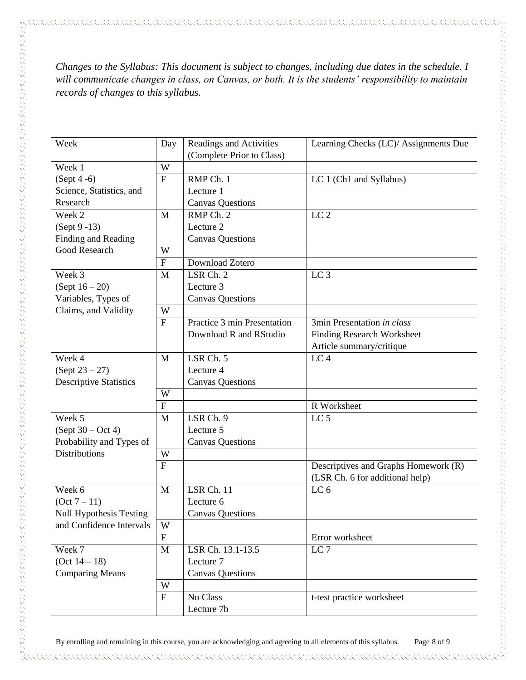*Changes to the Syllabus: This document is subject to changes, including due dates in the schedule. I will communicate changes in class, on Canvas, or both. It is the students' responsibility to maintain records of changes to this syllabus.* 

| Week                           | Day                       | Readings and Activities     | Learning Checks (LC)/ Assignments Due |
|--------------------------------|---------------------------|-----------------------------|---------------------------------------|
|                                |                           | (Complete Prior to Class)   |                                       |
| Week 1                         | W                         |                             |                                       |
| $(Sept 4-6)$                   | F                         | RMP Ch. 1                   | LC 1 (Ch1 and Syllabus)               |
| Science, Statistics, and       |                           | Lecture 1                   |                                       |
| Research                       |                           | <b>Canvas Questions</b>     |                                       |
| Week 2                         | M                         | RMP Ch. 2                   | LC <sub>2</sub>                       |
| $(Sept 9 - 13)$                |                           | Lecture 2                   |                                       |
| Finding and Reading            |                           | <b>Canvas Questions</b>     |                                       |
| Good Research                  | W                         |                             |                                       |
|                                | $\mathbf F$               | Download Zotero             |                                       |
| Week 3                         | M                         | LSR Ch. 2                   | LC <sub>3</sub>                       |
| $(Sept 16-20)$                 |                           | Lecture 3                   |                                       |
| Variables, Types of            |                           | <b>Canvas Questions</b>     |                                       |
| Claims, and Validity           | W                         |                             |                                       |
|                                | $\mathbf{F}$              | Practice 3 min Presentation | 3min Presentation in class            |
|                                |                           | Download R and RStudio      | <b>Finding Research Worksheet</b>     |
|                                |                           |                             | Article summary/critique              |
| Week 4                         | M                         | LSR Ch. 5                   | LC <sub>4</sub>                       |
| $(Sept 23 - 27)$               |                           | Lecture 4                   |                                       |
| <b>Descriptive Statistics</b>  |                           | <b>Canvas Questions</b>     |                                       |
|                                | W                         |                             |                                       |
|                                | $\overline{F}$            |                             | R Worksheet                           |
| Week 5                         | M                         | LSR Ch. 9                   | LC <sub>5</sub>                       |
| $(Sept 30 - Oct 4)$            |                           | Lecture 5                   |                                       |
| Probability and Types of       |                           | <b>Canvas Questions</b>     |                                       |
| <b>Distributions</b>           | W                         |                             |                                       |
|                                | $\mathbf{F}$              |                             | Descriptives and Graphs Homework (R)  |
|                                |                           |                             | (LSR Ch. 6 for additional help)       |
| Week 6                         | M                         | LSR Ch. 11                  | LC <sub>6</sub>                       |
| $(Oct 7 - 11)$                 |                           | Lecture 6                   |                                       |
| <b>Null Hypothesis Testing</b> |                           | <b>Canvas Questions</b>     |                                       |
| and Confidence Intervals       | W                         |                             |                                       |
|                                | $\boldsymbol{\mathrm{F}}$ |                             | Error worksheet                       |
| Week 7                         | M                         | LSR Ch. 13.1-13.5           | LC <sub>7</sub>                       |
| $(Oct 14 - 18)$                |                           | Lecture 7                   |                                       |
| <b>Comparing Means</b>         |                           | <b>Canvas Questions</b>     |                                       |
|                                | W                         |                             |                                       |
|                                | $\mathbf F$               | No Class                    | t-test practice worksheet             |
|                                |                           | Lecture 7b                  |                                       |
|                                |                           |                             |                                       |

By enrolling and remaining in this course, you are acknowledging and agreeing to all elements of this syllabus. Page 8 of 9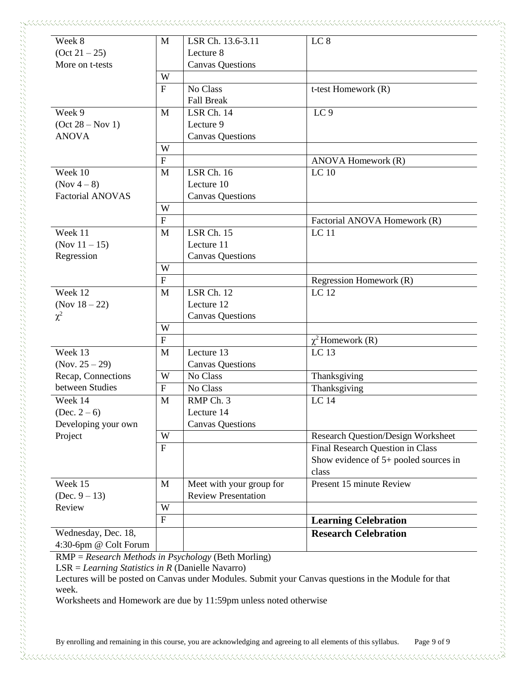| Week 8                                             | M                         | LSR Ch. 13.6-3.11                                          | LC <sub>8</sub>                                                                      |
|----------------------------------------------------|---------------------------|------------------------------------------------------------|--------------------------------------------------------------------------------------|
| (Oct 21 – 25)<br>More on t-tests                   |                           | Lecture 8<br><b>Canvas Questions</b>                       |                                                                                      |
|                                                    | W                         |                                                            |                                                                                      |
|                                                    | $\mathbf F$               | No Class<br><b>Fall Break</b>                              | t-test Homework (R)                                                                  |
| Week 9<br>$(Oct 28 - Nov 1)$<br><b>ANOVA</b>       | M                         | LSR Ch. 14<br>Lecture 9<br><b>Canvas Questions</b>         | LC <sub>9</sub>                                                                      |
|                                                    | W                         |                                                            |                                                                                      |
|                                                    | $\boldsymbol{\mathrm{F}}$ |                                                            | ANOVA Homework (R)                                                                   |
| Week 10<br>(Nov $4-8$ )<br><b>Factorial ANOVAS</b> | M                         | <b>LSR Ch. 16</b><br>Lecture 10<br><b>Canvas Questions</b> | LC 10                                                                                |
|                                                    | W                         |                                                            |                                                                                      |
|                                                    | $\overline{F}$            |                                                            | Factorial ANOVA Homework (R)                                                         |
| Week 11<br>(Nov $11 - 15$ )<br>Regression          | M                         | <b>LSR Ch. 15</b><br>Lecture 11<br><b>Canvas Questions</b> | <b>LC</b> 11                                                                         |
|                                                    | W                         |                                                            |                                                                                      |
|                                                    | $\overline{F}$            |                                                            | Regression Homework (R)                                                              |
| Week 12<br>(Nov $18 - 22$ )<br>$\chi^2$            | M                         | LSR Ch. 12<br>Lecture 12<br><b>Canvas Questions</b>        | LC 12                                                                                |
|                                                    | W                         |                                                            |                                                                                      |
|                                                    | $\overline{F}$            |                                                            | $\chi^2$ Homework (R)                                                                |
| Week 13<br>(Nov. $25 - 29$ )                       | M                         | Lecture $1\overline{3}$<br><b>Canvas Questions</b>         | LC <sub>13</sub>                                                                     |
| Recap, Connections                                 | W                         | No Class                                                   | Thanksgiving                                                                         |
| between Studies                                    | $\overline{F}$            | No Class                                                   | Thanksgiving                                                                         |
| Week 14<br>(Dec. $2-6$ )<br>Developing your own    | M                         | RMP Ch. 3<br>Lecture 14<br><b>Canvas Questions</b>         | LC 14                                                                                |
| Project                                            | W                         |                                                            | <b>Research Question/Design Worksheet</b>                                            |
|                                                    | ${\bf F}$                 |                                                            | Final Research Question in Class<br>Show evidence of $5+$ pooled sources in<br>class |
| Week 15<br>(Dec. $9 - 13$ )                        | M                         | Meet with your group for<br><b>Review Presentation</b>     | Present 15 minute Review                                                             |
| Review                                             | W                         |                                                            |                                                                                      |
|                                                    | $\mathbf F$               |                                                            | <b>Learning Celebration</b>                                                          |
| Wednesday, Dec. 18,<br>4:30-6pm @ Colt Forum       |                           |                                                            | <b>Research Celebration</b>                                                          |

Worksheets and Homework are due by 11:59pm unless noted otherwise

していることです。このように、このように、このように、このように、このように、このように、このように、このように、このように、このように、このように、このようになっていることができることになっていることができない。このよ

 $\Im$